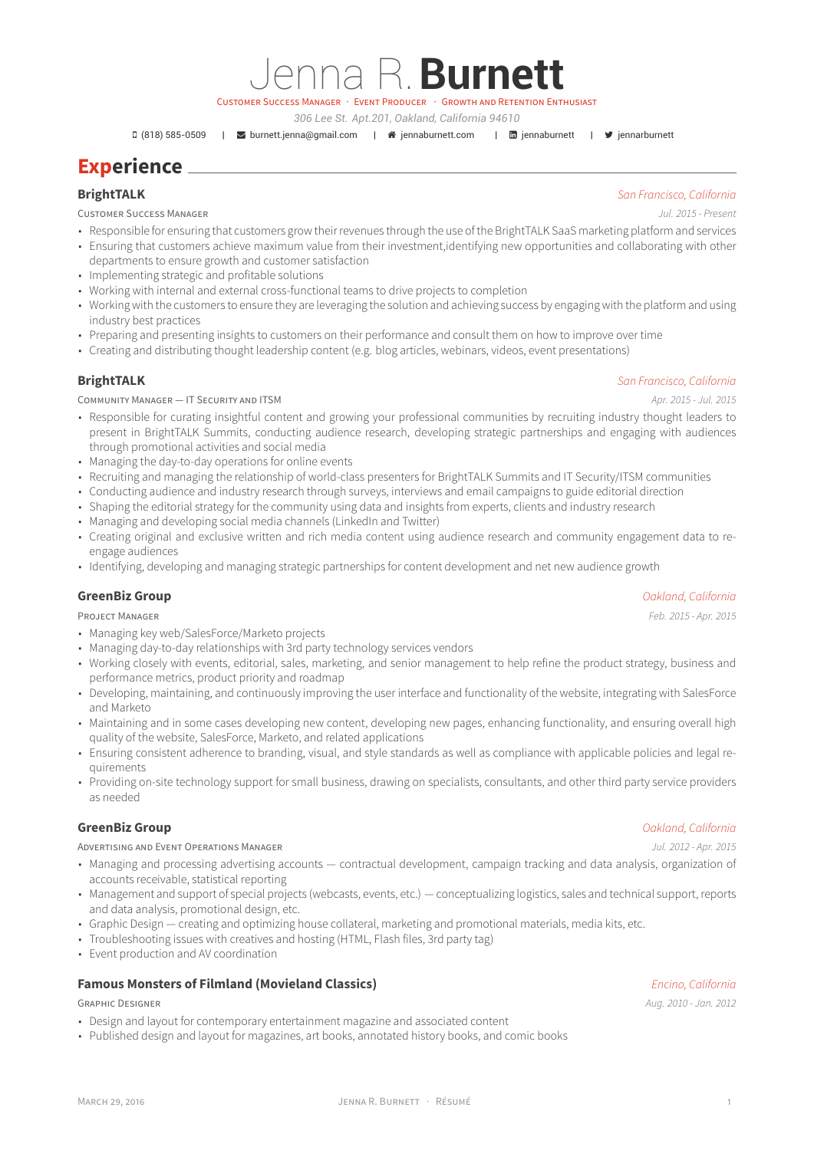MARCH 29, 2016 JENNA R. BURNETT · RÉSUMÉ 1

# **Experience**

CUSTOMER SUCCESS MANAGER *Jul. 2015 - Present*

• Responsible for ensuring that customers grow their revenues through the use of the BrightTALK SaaS marketing platform and services

Jenna R.**Burnett** CUSTOMER SUCCESS MANAGER · EVENT PRODUCER · GROWTH AND RETENTION ENTHUSIAST *306 Lee St. Apt.201, Oakland, California 94610*

- Ensuring that customers achieve maximum value from their investment,identifying new opportunities and collaborating with other departments to ensure growth and customer satisfaction
- Implementing strategic and profitable solutions
- Working with internal and external cross-functional teams to drive projects to completion
- Working with the customers to ensure they are leveraging the solution and achieving success by engaging with the platform and using industry best practices
- Preparing and presenting insights to customers on their performance and consult them on how to improve over time
- Creating and distributing thought leadership content (e.g. blog articles, webinars, videos, event presentations)

## **BrightTALK** *San Francisco, California*

COMMUNITY MANAGER — IT SECURITY AND ITSM *Apr. 2015 - Jul. 2015*

- Responsible for curating insightful content and growing your professional communities by recruiting industry thought leaders to present in BrightTALK Summits, conducting audience research, developing strategic partnerships and engaging with audiences through promotional activities and social media
- Managing the day-to-day operations for online events
- Recruiting and managing the relationship of world-class presenters for BrightTALK Summits and IT Security/ITSM communities
- Conducting audience and industry research through surveys, interviews and email campaigns to guide editorial direction
- Shaping the editorial strategy for the community using data and insights from experts, clients and industry research
- Managing and developing social media channels (LinkedIn and Twitter)
- Creating original and exclusive written and rich media content using audience research and community engagement data to reengage audiences
- Identifying, developing and managing strategic partnerships for content development and net new audience growth

### **GreenBiz Group** *Oakland, California*

PROJECT MANAGER *Feb. 2015 - Apr. 2015*

- Managing key web/SalesForce/Marketo projects
- Managing day-to-day relationships with 3rd party technology services vendors
- Working closely with events, editorial, sales, marketing, and senior management to help refine the product strategy, business and performance metrics, product priority and roadmap
- Developing, maintaining, and continuously improving the user interface and functionality of the website, integrating with SalesForce and Marketo
- Maintaining and in some cases developing new content, developing new pages, enhancing functionality, and ensuring overall high quality of the website, SalesForce, Marketo, and related applications
- Ensuring consistent adherence to branding, visual, and style standards as well as compliance with applicable policies and legal requirements
- Providing on-site technology support for small business, drawing on specialists, consultants, and other third party service providers as needed

### **GreenBiz Group** *Oakland, California*

#### ADVERTISING AND EVENT OPERATIONS MANAGER *Jul. 2012 - Apr. 2015*

- Managing and processing advertising accounts contractual development, campaign tracking and data analysis, organization of accounts receivable, statistical reporting
- Management and support of special projects (webcasts, events, etc.) conceptualizing logistics, sales and technical support, reports and data analysis, promotional design, etc.
- Graphic Design creating and optimizing house collateral, marketing and promotional materials, media kits, etc.
- Troubleshooting issues with creatives and hosting (HTML, Flash files, 3rd party tag)
- Event production and AV coordination

### **Famous Monsters of Filmland (Movieland Classics)** *Encino, California*

### GRAPHIC DESIGNER *Aug. 2010 - Jan. 2012*

- Design and layout for contemporary entertainment magazine and associated content
- Published design and layout for magazines, art books, annotated history books, and comic books

# **BrightTALK** *[San Francisc](https://twitter.com/ jennarburnett)o, California*